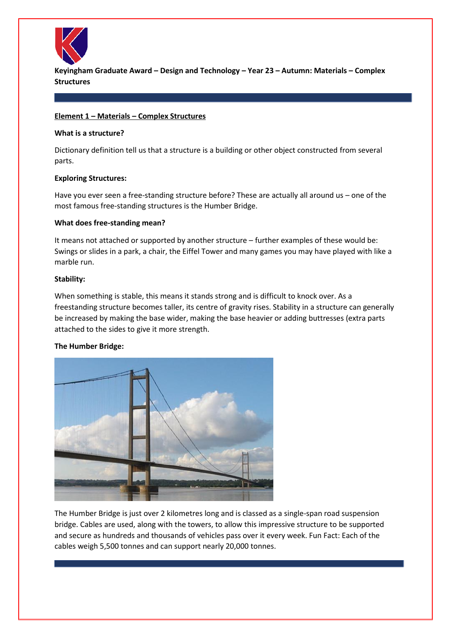

**Keyingham Graduate Award – Design and Technology – Year 23 – Autumn: Materials – Complex Structures**

#### **Element 1 – Materials – Complex Structures**

#### **What is a structure?**

Dictionary definition tell us that a structure is a building or other object constructed from several parts.

### **Exploring Structures:**

Have you ever seen a free-standing structure before? These are actually all around us – one of the most famous free-standing structures is the Humber Bridge.

### **What does free-standing mean?**

It means not attached or supported by another structure – further examples of these would be: Swings or slides in a park, a chair, the Eiffel Tower and many games you may have played with like a marble run.

### **Stability:**

When something is stable, this means it stands strong and is difficult to knock over. As a freestanding structure becomes taller, its centre of gravity rises. Stability in a structure can generally be increased by making the base wider, making the base heavier or adding buttresses (extra parts attached to the sides to give it more strength.

# **The Humber Bridge:**



The Humber Bridge is just over 2 kilometres long and is classed as a single-span road suspension bridge. Cables are used, along with the towers, to allow this impressive structure to be supported and secure as hundreds and thousands of vehicles pass over it every week. Fun Fact: Each of the cables weigh 5,500 tonnes and can support nearly 20,000 tonnes.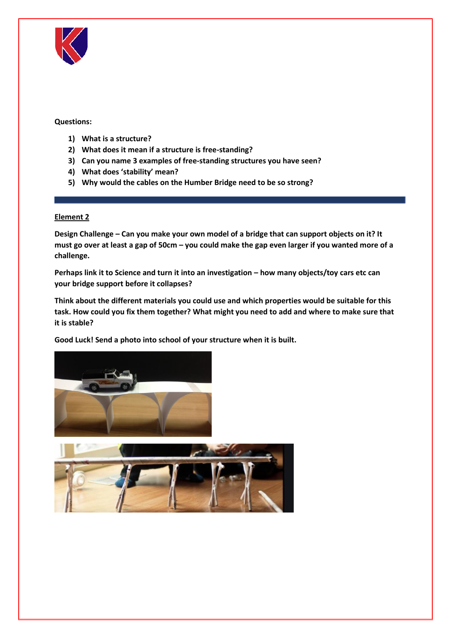

# **Questions:**

- **1) What is a structure?**
- **2) What does it mean if a structure is free-standing?**
- **3) Can you name 3 examples of free-standing structures you have seen?**
- **4) What does 'stability' mean?**
- **5) Why would the cables on the Humber Bridge need to be so strong?**

# **Element 2**

**Design Challenge – Can you make your own model of a bridge that can support objects on it? It must go over at least a gap of 50cm – you could make the gap even larger if you wanted more of a challenge.**

**Perhaps link it to Science and turn it into an investigation – how many objects/toy cars etc can your bridge support before it collapses?**

**Think about the different materials you could use and which properties would be suitable for this task. How could you fix them together? What might you need to add and where to make sure that it is stable?**

**Good Luck! Send a photo into school of your structure when it is built.**